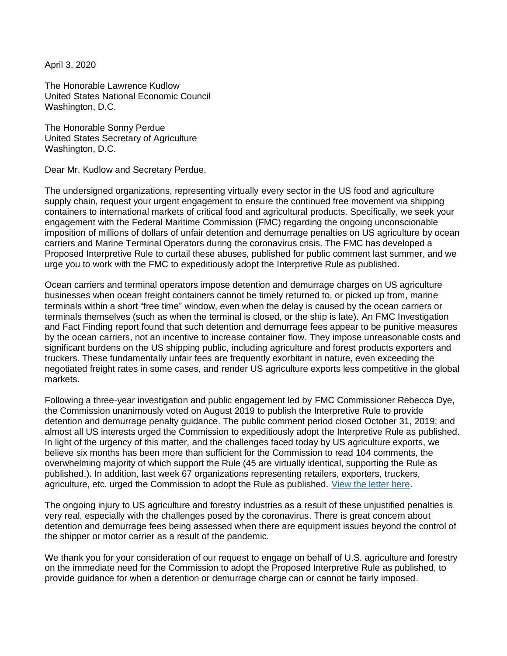April 3, 2020

The Honorable Lawrence Kudlow United States National Economic Council Washington, D.C.

The Honorable Sonny Perdue United States Secretary of Agriculture Washington, D.C.

Dear Mr. Kudlow and Secretary Perdue,

The undersigned organizations, representing virtually every sector in the US food and agriculture supply chain, request your urgent engagement to ensure the continued free movement via shipping containers to international markets of critical food and agricultural products. Specifically, we seek your engagement with the Federal Maritime Commission (FMC) regarding the ongoing unconscionable imposition of millions of dollars of unfair detention and demurrage penalties on US agriculture by ocean carriers and Marine Terminal Operators during the coronavirus crisis. The FMC has developed a Proposed Interpretive Rule to curtail these abuses, published for public comment last summer, and we urge you to work with the FMC to expeditiously adopt the Interpretive Rule as published.

Ocean carriers and terminal operators impose detention and demurrage charges on US agriculture businesses when ocean freight containers cannot be timely returned to, or picked up from, marine terminals within a short "free time" window, even when the delay is caused by the ocean carriers or terminals themselves (such as when the terminal is closed, or the ship is late). An FMC Investigation and Fact Finding report found that such detention and demurrage fees appear to be punitive measures by the ocean carriers, not an incentive to increase container flow. They impose unreasonable costs and significant burdens on the US shipping public, including agriculture and forest products exporters and truckers. These fundamentally unfair fees are frequently exorbitant in nature, even exceeding the negotiated freight rates in some cases, and render US agriculture exports less competitive in the global markets.

Following a three-year investigation and public engagement led by FMC Commissioner Rebecca Dye, the Commission unanimously voted on August 2019 to publish the Interpretive Rule to provide detention and demurrage penalty guidance. The public comment period closed October 31, 2019; and almost all US interests urged the Commission to expeditiously adopt the Interpretive Rule as published. In light of the urgency of this matter, and the challenges faced today by US agriculture exports, we believe six months has been more than sufficient for the Commission to read 104 comments, the overwhelming majority of which support the Rule (45 are virtually identical, supporting the Rule as published.). In addition, last week 67 organizations representing retailers, exporters, truckers, agriculture, etc. urged the Commission to adopt the Rule as published. [View the letter here.](https://agtrans.org/wp-content/uploads/2020/03/FMC-Detention-Demurrage-Interpretive-Final-Rule-Letter-031620-Final.pdf)

The ongoing injury to US agriculture and forestry industries as a result of these unjustified penalties is very real, especially with the challenges posed by the coronavirus. There is great concern about detention and demurrage fees being assessed when there are equipment issues beyond the control of the shipper or motor carrier as a result of the pandemic.

We thank you for your consideration of our request to engage on behalf of U.S. agriculture and forestry on the immediate need for the Commission to adopt the Proposed Interpretive Rule as published, to provide guidance for when a detention or demurrage charge can or cannot be fairly imposed.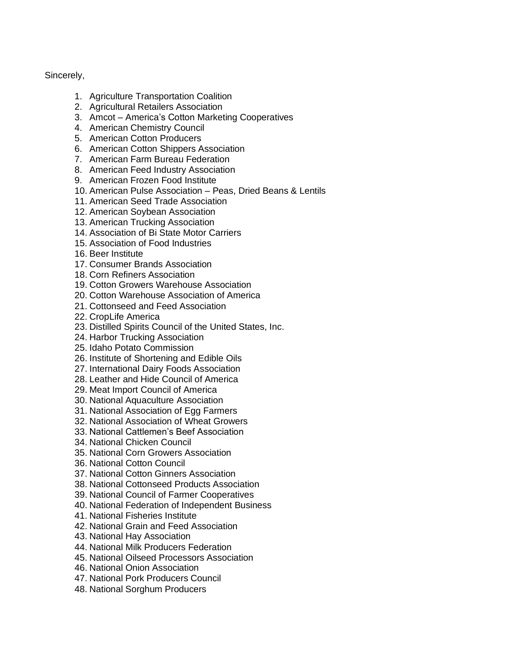## Sincerely,

- 1. Agriculture Transportation Coalition
- 2. Agricultural Retailers Association
- 3. Amcot America's Cotton Marketing Cooperatives
- 4. American Chemistry Council
- 5. American Cotton Producers
- 6. American Cotton Shippers Association
- 7. American Farm Bureau Federation
- 8. American Feed Industry Association
- 9. American Frozen Food Institute
- 10. American Pulse Association Peas, Dried Beans & Lentils
- 11. American Seed Trade Association
- 12. American Soybean Association
- 13. American Trucking Association
- 14. Association of Bi State Motor Carriers
- 15. Association of Food Industries
- 16. Beer Institute
- 17. Consumer Brands Association
- 18. Corn Refiners Association
- 19. Cotton Growers Warehouse Association
- 20. Cotton Warehouse Association of America
- 21. Cottonseed and Feed Association
- 22. CropLife America
- 23. Distilled Spirits Council of the United States, Inc.
- 24. Harbor Trucking Association
- 25. Idaho Potato Commission
- 26. Institute of Shortening and Edible Oils
- 27. International Dairy Foods Association
- 28. Leather and Hide Council of America
- 29. Meat Import Council of America
- 30. National Aquaculture Association
- 31. National Association of Egg Farmers
- 32. National Association of Wheat Growers
- 33. National Cattlemen's Beef Association
- 34. National Chicken Council
- 35. National Corn Growers Association
- 36. National Cotton Council
- 37. National Cotton Ginners Association
- 38. National Cottonseed Products Association
- 39. National Council of Farmer Cooperatives
- 40. National Federation of Independent Business
- 41. National Fisheries Institute
- 42. National Grain and Feed Association
- 43. National Hay Association
- 44. National Milk Producers Federation
- 45. National Oilseed Processors Association
- 46. National Onion Association
- 47. National Pork Producers Council
- 48. National Sorghum Producers